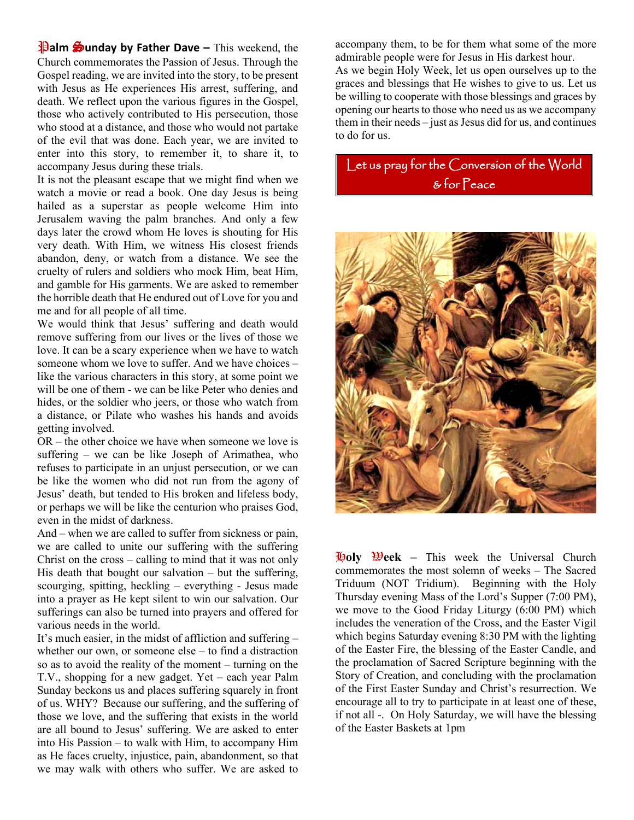**Palm Sunday by Father Dave** – This weekend, the Church commemorates the Passion of Jesus. Through the Gospel reading, we are invited into the story, to be present with Jesus as He experiences His arrest, suffering, and death. We reflect upon the various figures in the Gospel, those who actively contributed to His persecution, those who stood at a distance, and those who would not partake of the evil that was done. Each year, we are invited to enter into this story, to remember it, to share it, to accompany Jesus during these trials.

It is not the pleasant escape that we might find when we watch a movie or read a book. One day Jesus is being hailed as a superstar as people welcome Him into Jerusalem waving the palm branches. And only a few days later the crowd whom He loves is shouting for His very death. With Him, we witness His closest friends abandon, deny, or watch from a distance. We see the cruelty of rulers and soldiers who mock Him, beat Him, and gamble for His garments. We are asked to remember the horrible death that He endured out of Love for you and me and for all people of all time.

We would think that Jesus' suffering and death would remove suffering from our lives or the lives of those we love. It can be a scary experience when we have to watch someone whom we love to suffer. And we have choices – like the various characters in this story, at some point we will be one of them - we can be like Peter who denies and hides, or the soldier who jeers, or those who watch from a distance, or Pilate who washes his hands and avoids getting involved.

OR – the other choice we have when someone we love is suffering – we can be like Joseph of Arimathea, who refuses to participate in an unjust persecution, or we can be like the women who did not run from the agony of Jesus' death, but tended to His broken and lifeless body, or perhaps we will be like the centurion who praises God, even in the midst of darkness.

And – when we are called to suffer from sickness or pain, we are called to unite our suffering with the suffering Christ on the cross – calling to mind that it was not only His death that bought our salvation – but the suffering, scourging, spitting, heckling – everything - Jesus made into a prayer as He kept silent to win our salvation. Our sufferings can also be turned into prayers and offered for various needs in the world.

It's much easier, in the midst of affliction and suffering – whether our own, or someone else – to find a distraction so as to avoid the reality of the moment – turning on the T.V., shopping for a new gadget. Yet – each year Palm Sunday beckons us and places suffering squarely in front of us. WHY? Because our suffering, and the suffering of those we love, and the suffering that exists in the world are all bound to Jesus' suffering. We are asked to enter into His Passion – to walk with Him, to accompany Him as He faces cruelty, injustice, pain, abandonment, so that we may walk with others who suffer. We are asked to

accompany them, to be for them what some of the more admirable people were for Jesus in His darkest hour. As we begin Holy Week, let us open ourselves up to the graces and blessings that He wishes to give to us. Let us be willing to cooperate with those blessings and graces by opening our hearts to those who need us as we accompany them in their needs – just as Jesus did for us, and continues to do for us.

Let us pray for the Conversion of the World & for Peace



H**oly** W**eek –** This week the Universal Church commemorates the most solemn of weeks – The Sacred Triduum (NOT Tridium). Beginning with the Holy Thursday evening Mass of the Lord's Supper (7:00 PM), we move to the Good Friday Liturgy (6:00 PM) which includes the veneration of the Cross, and the Easter Vigil which begins Saturday evening 8:30 PM with the lighting of the Easter Fire, the blessing of the Easter Candle, and the proclamation of Sacred Scripture beginning with the Story of Creation, and concluding with the proclamation of the First Easter Sunday and Christ's resurrection. We encourage all to try to participate in at least one of these, if not all -. On Holy Saturday, we will have the blessing of the Easter Baskets at 1pm